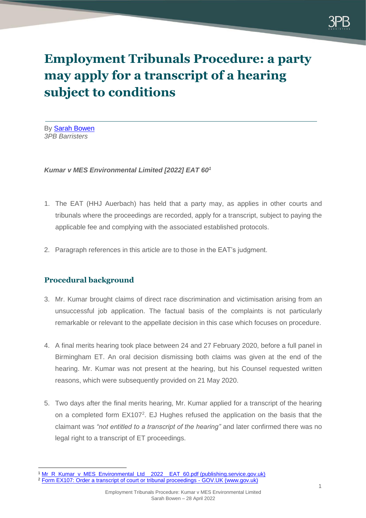

# **Employment Tribunals Procedure: a party may apply for a transcript of a hearing subject to conditions**

By Sarah Bowen *3PB Barristers*

### *Kumar v MES Environmental Limited [2022] EAT 60<sup>1</sup>*

- 1. The EAT (HHJ Auerbach) has held that a party may, as applies in other courts and tribunals where the proceedings are recorded, apply for a transcript, subject to paying the applicable fee and complying with the associated established protocols.
- 2. Paragraph references in this article are to those in the EAT's judgment.

## **Procedural background**

- 3. Mr. Kumar brought claims of direct race discrimination and victimisation arising from an unsuccessful job application. The factual basis of the complaints is not particularly remarkable or relevant to the appellate decision in this case which focuses on procedure.
- 4. A final merits hearing took place between 24 and 27 February 2020, before a full panel in Birmingham ET. An oral decision dismissing both claims was given at the end of the hearing. Mr. Kumar was not present at the hearing, but his Counsel requested written reasons, which were subsequently provided on 21 May 2020.
- 5. Two days after the final merits hearing, Mr. Kumar applied for a transcript of the hearing on a completed form EX107<sup>2</sup>. EJ Hughes refused the application on the basis that the claimant was *"not entitled to a transcript of the hearing"* and later confirmed there was no legal right to a transcript of ET proceedings.

<sup>&</sup>lt;sup>1</sup> [Mr\\_R\\_Kumar\\_v\\_MES\\_Environmental\\_Ltd\\_\\_2022\\_\\_EAT\\_60.pdf \(publishing.service.gov.uk\)](https://assets.publishing.service.gov.uk/media/62612f088fa8f523c0eff095/Mr_R_Kumar_v_MES_Environmental_Ltd__2022__EAT_60.pdf)

<sup>&</sup>lt;sup>2</sup> [Form EX107: Order a transcript of court or tribunal proceedings -](https://www.gov.uk/government/publications/order-a-transcript-of-court-or-tribunal-proceedings-form-ex107) GOV.UK (www.gov.uk)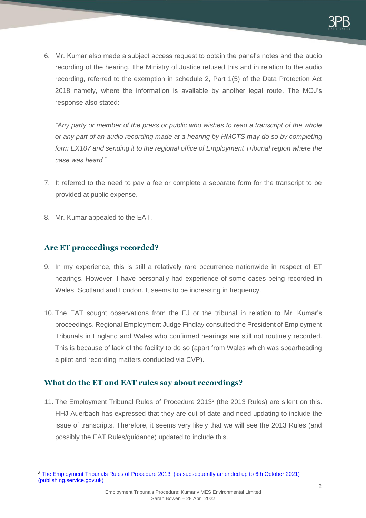6. Mr. Kumar also made a subject access request to obtain the panel's notes and the audio recording of the hearing. The Ministry of Justice refused this and in relation to the audio recording, referred to the exemption in schedule 2, Part 1(5) of the Data Protection Act 2018 namely, where the information is available by another legal route. The MOJ's response also stated:

*"Any party or member of the press or public who wishes to read a transcript of the whole or any part of an audio recording made at a hearing by HMCTS may do so by completing*  form EX107 and sending it to the regional office of Employment Tribunal region where the *case was heard."*

- 7. It referred to the need to pay a fee or complete a separate form for the transcript to be provided at public expense.
- 8. Mr. Kumar appealed to the EAT.

## **Are ET proceedings recorded?**

- 9. In my experience, this is still a relatively rare occurrence nationwide in respect of ET hearings. However, I have personally had experience of some cases being recorded in Wales, Scotland and London. It seems to be increasing in frequency.
- 10. The EAT sought observations from the EJ or the tribunal in relation to Mr. Kumar's proceedings. Regional Employment Judge Findlay consulted the President of Employment Tribunals in England and Wales who confirmed hearings are still not routinely recorded. This is because of lack of the facility to do so (apart from Wales which was spearheading a pilot and recording matters conducted via CVP).

## **What do the ET and EAT rules say about recordings?**

11. The Employment Tribunal Rules of Procedure 2013<sup>3</sup> (the 2013 Rules) are silent on this. HHJ Auerbach has expressed that they are out of date and need updating to include the issue of transcripts. Therefore, it seems very likely that we will see the 2013 Rules (and possibly the EAT Rules/guidance) updated to include this.

<sup>&</sup>lt;sup>3</sup> The Employment Tribunals Rules of Procedure 2013: (as subsequently amended up to 6th October 2021) [\(publishing.service.gov.uk\)](https://assets.publishing.service.gov.uk/government/uploads/system/uploads/attachment_data/file/1032803/consolidated-rules-october-2021.pdf)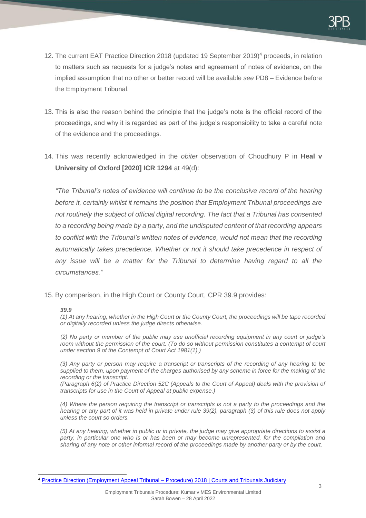- 12. The current EAT Practice Direction 2018 (updated 19 September 2019)<sup>4</sup> proceeds, in relation to matters such as requests for a judge's notes and agreement of notes of evidence, on the implied assumption that no other or better record will be available *see* PD8 – Evidence before the Employment Tribunal.
- 13. This is also the reason behind the principle that the judge's note is the official record of the proceedings, and why it is regarded as part of the judge's responsibility to take a careful note of the evidence and the proceedings.
- 14. This was recently acknowledged in the *obiter* observation of Choudhury P in **Heal v University of Oxford [2020] ICR 1294** at 49(d):

*"The Tribunal's notes of evidence will continue to be the conclusive record of the hearing before it, certainly whilst it remains the position that Employment Tribunal proceedings are not routinely the subject of official digital recording. The fact that a Tribunal has consented to a recording being made by a party, and the undisputed content of that recording appears to conflict with the Tribunal's written notes of evidence, would not mean that the recording automatically takes precedence. Whether or not it should take precedence in respect of any issue will be a matter for the Tribunal to determine having regard to all the circumstances."*

15. By comparison, in the High Court or County Court, CPR 39.9 provides:

#### *39.9*

*(1) At any hearing, whether in the High Court or the County Court, the proceedings will be tape recorded or digitally recorded unless the judge directs otherwise.*

*(2) No party or member of the public may use unofficial recording equipment in any court or judge's room without the permission of the court. (To do so without permission constitutes a contempt of court under section 9 of the Contempt of Court Act 1981(1).)*

*(3) Any party or person may require a transcript or transcripts of the recording of any hearing to be supplied to them, upon payment of the charges authorised by any scheme in force for the making of the recording or the transcript.*

*(Paragraph 6(2) of Practice Direction 52C (Appeals to the Court of Appeal) deals with the provision of transcripts for use in the Court of Appeal at public expense.)*

*(4) Where the person requiring the transcript or transcripts is not a party to the proceedings and the hearing or any part of it was held in private under rule 39(2), paragraph (3) of this rule does not apply unless the court so orders.*

*(5) At any hearing, whether in public or in private, the judge may give appropriate directions to assist a*  party, in particular one who is or has been or may become unrepresented, for the compilation and *sharing of any note or other informal record of the proceedings made by another party or by the court.*

<sup>4</sup> [Practice Direction \(Employment Appeal Tribunal –](https://www.judiciary.uk/publications/employment-appeal-tribunal-guidance/?msclkid=e5aef56ac70211ecb86f489d147eaf40) Procedure) 2018 | Courts and Tribunals Judiciary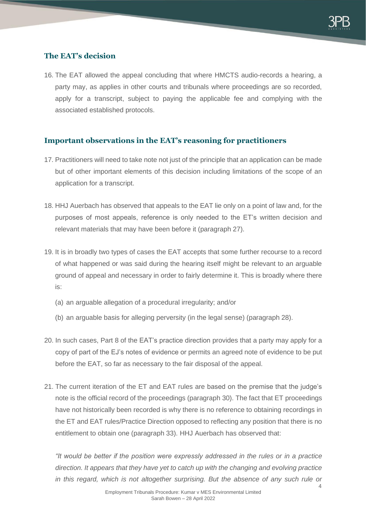## **The EAT's decision**

16. The EAT allowed the appeal concluding that where HMCTS audio-records a hearing, a party may, as applies in other courts and tribunals where proceedings are so recorded, apply for a transcript, subject to paying the applicable fee and complying with the associated established protocols.

## **Important observations in the EAT's reasoning for practitioners**

- 17. Practitioners will need to take note not just of the principle that an application can be made but of other important elements of this decision including limitations of the scope of an application for a transcript.
- 18. HHJ Auerbach has observed that appeals to the EAT lie only on a point of law and, for the purposes of most appeals, reference is only needed to the ET's written decision and relevant materials that may have been before it (paragraph 27).
- 19. It is in broadly two types of cases the EAT accepts that some further recourse to a record of what happened or was said during the hearing itself might be relevant to an arguable ground of appeal and necessary in order to fairly determine it. This is broadly where there is:
	- (a) an arguable allegation of a procedural irregularity; and/or
	- (b) an arguable basis for alleging perversity (in the legal sense) (paragraph 28).
- 20. In such cases, Part 8 of the EAT's practice direction provides that a party may apply for a copy of part of the EJ's notes of evidence or permits an agreed note of evidence to be put before the EAT, so far as necessary to the fair disposal of the appeal.
- 21. The current iteration of the ET and EAT rules are based on the premise that the judge's note is the official record of the proceedings (paragraph 30). The fact that ET proceedings have not historically been recorded is why there is no reference to obtaining recordings in the ET and EAT rules/Practice Direction opposed to reflecting any position that there is no entitlement to obtain one (paragraph 33). HHJ Auerbach has observed that:

*"It would be better if the position were expressly addressed in the rules or in a practice direction. It appears that they have yet to catch up with the changing and evolving practice in this regard, which is not altogether surprising. But the absence of any such rule or*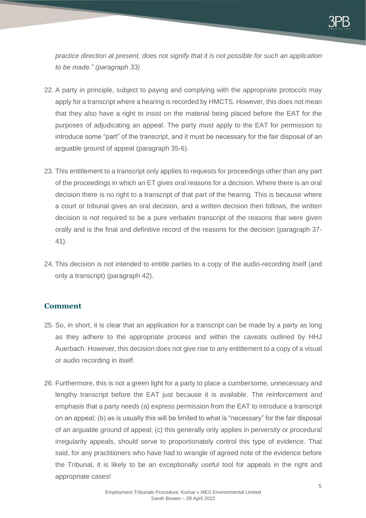*practice direction at present, does not signify that it is not possible for such an application to be made." (paragraph 33)*

- 22. A party in principle, subject to paying and complying with the appropriate protocols may apply for a transcript where a hearing is recorded by HMCTS. However, this does not mean that they also have a right to insist on the material being placed before the EAT for the purposes of adjudicating an appeal. The party must apply to the EAT for permission to introduce some "part" of the transcript, and it must be necessary for the fair disposal of an arguable ground of appeal (paragraph 35-6).
- 23. This entitlement to a transcript only applies to requests for proceedings other than any part of the proceedings in which an ET gives oral reasons for a decision. Where there is an oral decision there is no right to a transcript of that part of the hearing. This is because where a court or tribunal gives an oral decision, and a written decision then follows, the written decision is not required to be a pure verbatim transcript of the reasons that were given orally and is the final and definitive record of the reasons for the decision (paragraph 37- 41).
- 24. This decision is not intended to entitle parties to a copy of the audio-recording itself (and only a transcript) (paragraph 42).

## **Comment**

- 25. So, in short, it is clear that an application for a transcript can be made by a party as long as they adhere to the appropriate process and within the caveats outlined by HHJ Auerbach. However, this decision does not give rise to any entitlement to a copy of a visual or audio recording in itself.
- 26. Furthermore, this is not a green light for a party to place a cumbersome, unnecessary and lengthy transcript before the EAT just because it is available. The reinforcement and emphasis that a party needs (a) express permission from the EAT to introduce a transcript on an appeal; (b) as is usually this will be limited to what is "necessary" for the fair disposal of an arguable ground of appeal; (c) this generally only applies in perversity or procedural irregularity appeals, should serve to proportionately control this type of evidence. That said, for any practitioners who have had to wrangle of agreed note of the evidence before the Tribunal, it is likely to be an exceptionally useful tool for appeals in the right and appropriate cases!